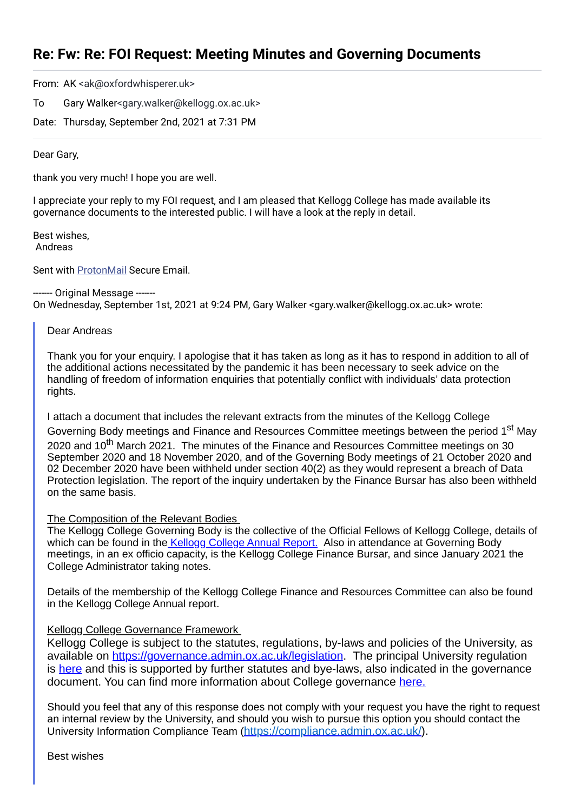## **Re: Fw: Re: FOI Request: Meeting Minutes and Governing Documents**

From: AK <ak@oxfordwhisperer.uk>

To Gary Walker<gary.walker@kellogg.ox.ac.uk>

Date: Thursday, September 2nd, 2021 at 7:31 PM

Dear Gary,

thank you very much! I hope you are well.

I appreciate your reply to my FOI request, and I am pleased that Kellogg College has made available its governance documents to the interested public. I will have a look at the reply in detail.

Best wishes, Andreas

Sent with [ProtonMail](https://protonmail.com/) Secure Email.

--- Original Message ---

On Wednesday, September 1st, 2021 at 9:24 PM, Gary Walker <gary.walker@kellogg.ox.ac.uk> wrote:

## Dear Andreas

Thank you for your enquiry. I apologise that it has taken as long as it has to respond in addition to all of the additional actions necessitated by the pandemic it has been necessary to seek advice on the handling of freedom of information enquiries that potentially conflict with individuals' data protection rights.

I attach a document that includes the relevant extracts from the minutes of the Kellogg College Governing Body meetings and Finance and Resources Committee meetings between the period 1<sup>st</sup> May 2020 and 10<sup>th</sup> March 2021. The minutes of the Finance and Resources Committee meetings on 30 September 2020 and 18 November 2020, and of the Governing Body meetings of 21 October 2020 and 02 December 2020 have been withheld under section 40(2) as they would represent a breach of Data Protection legislation. The report of the inquiry undertaken by the Finance Bursar has also been withheld on the same basis.

## The Composition of the Relevant Bodies

The Kellogg College Governing Body is the collective of the Official Fellows of Kellogg College, details of which can be found in the Kellogg [College](https://www.kellogg.ox.ac.uk/wp-content/uploads/2021/06/Kellogg-Annual-Report-2020-FINAL.pdf) Annual Report. Also in attendance at Governing Body meetings, in an ex officio capacity, is the Kellogg College Finance Bursar, and since January 2021 the College Administrator taking notes.

Details of the membership of the Kellogg College Finance and Resources Committee can also be found in the Kellogg College Annual report.

## Kellogg College Governance Framework

Kellogg College is subject to the statutes, regulations, by-laws and policies of the University, as available on <https://governance.admin.ox.ac.uk/legislation>. The principal University regulation is [here](https://www.kellogg.ox.ac.uk/wp-content/uploads/2021/08/2rb.-Revised-Reg-10-and-Bylaw-Oct-2019.pdf) and this is supported by further statutes and bye-laws, also indicated in the governance document. You can find more information about College governance [here.](https://www.kellogg.ox.ac.uk/explore/governance/) 

Should you feel that any of this response does not comply with your request you have the right to request an internal review by the University, and should you wish to pursue this option you should contact the University Information Compliance Team (<https://compliance.admin.ox.ac.uk/>).

Best wishes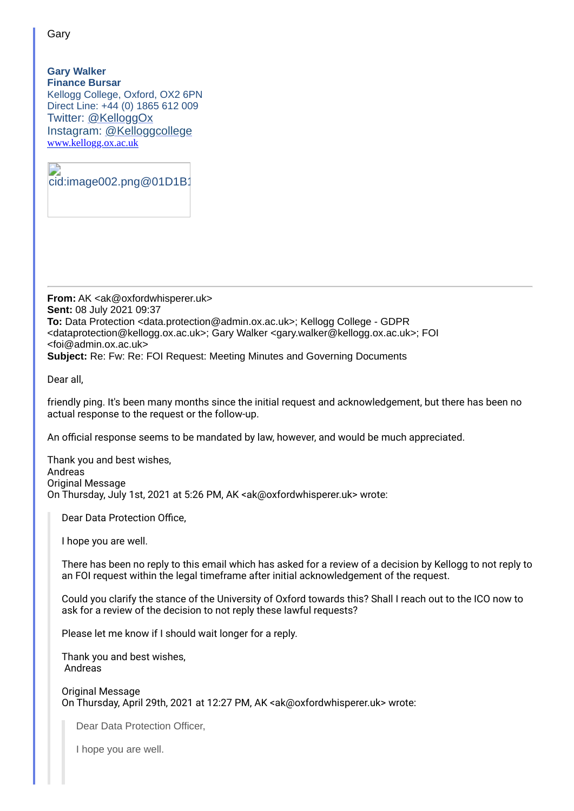Gary

**Gary Walker Finance Bursar** Kellogg College, Oxford, OX2 6PN Direct Line: +44 (0) 1865 612 009 Twitter: [@KelloggOx](https://twitter.com/KelloggOx) Instagram: [@Kelloggcollege](https://www.instagram.com/kelloggcollege/) [www.kellogg.ox.ac.uk](http://www.kellogg.ox.ac.uk/)

cid:image002.png@01D1B1

**From:** AK <ak@oxfordwhisperer.uk> **Sent:** 08 July 2021 09:37 **To:** Data Protection <data.protection@admin.ox.ac.uk>; Kellogg College - GDPR <dataprotection@kellogg.ox.ac.uk>; Gary Walker <gary.walker@kellogg.ox.ac.uk>; FOI <foi@admin.ox.ac.uk> **Subject:** Re: Fw: Re: FOI Request: Meeting Minutes and Governing Documents

Dear all,

friendly ping. It's been many months since the initial request and acknowledgement, but there has been no actual response to the request or the follow-up.

An official response seems to be mandated by law, however, and would be much appreciated.

Thank you and best wishes, Andreas Original Message On Thursday, July 1st, 2021 at 5:26 PM, AK <ak@oxfordwhisperer.uk> wrote:

Dear Data Protection Office,

I hope you are well.

There has been no reply to this email which has asked for a review of a decision by Kellogg to not reply to an FOI request within the legal timeframe after initial acknowledgement of the request.

Could you clarify the stance of the University of Oxford towards this? Shall I reach out to the ICO now to ask for a review of the decision to not reply these lawful requests?

Please let me know if I should wait longer for a reply.

Thank you and best wishes, Andreas

Original Message On Thursday, April 29th, 2021 at 12:27 PM, AK <ak@oxfordwhisperer.uk> wrote:

Dear Data Protection Officer,

I hope you are well.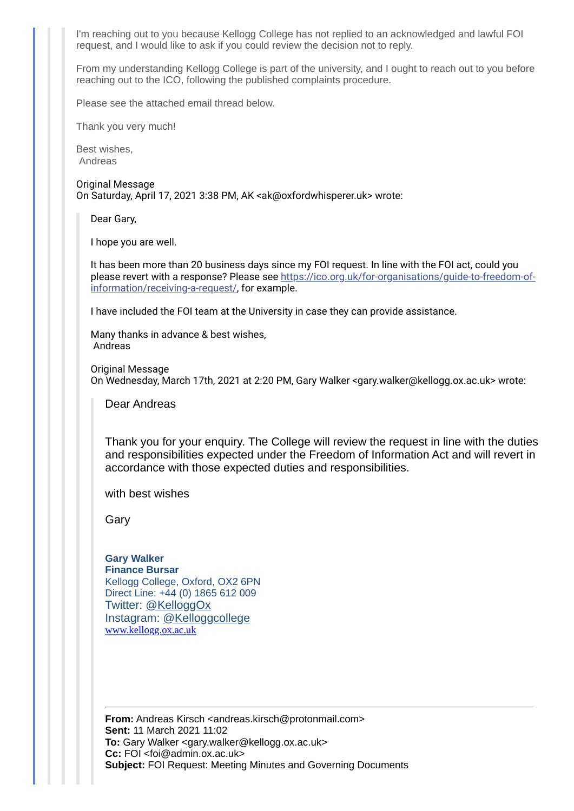I'm reaching out to you because Kellogg College has not replied to an acknowledged and lawful FOI request, and I would like to ask if you could review the decision not to reply.

From my understanding Kellogg College is part of the university, and I ought to reach out to you before reaching out to the ICO, following the published complaints procedure.

Please see the attached email thread below.

Thank you very much!

Best wishes, Andreas

Original Message On Saturday, April 17, 2021 3:38 PM, AK <ak@oxfordwhisperer.uk> wrote:

Dear Gary,

I hope you are well.

It has been more than 20 business days since my FOI request. In line with the FOI act, could you [please revert with a response? Please see https://ico.org.uk/for-organisations/guide-to-freedom-of](https://ico.org.uk/for-organisations/guide-to-freedom-of-information/receiving-a-request/)information/receiving-a-request/, for example.

I have included the FOI team at the University in case they can provide assistance.

Many thanks in advance & best wishes, Andreas

Original Message On Wednesday, March 17th, 2021 at 2:20 PM, Gary Walker <gary.walker@kellogg.ox.ac.uk> wrote:

Dear Andreas

Thank you for your enquiry. The College will review the request in line with the duties and responsibilities expected under the Freedom of Information Act and will revert in accordance with those expected duties and responsibilities.

with best wishes

Gary

**Gary Walker Finance Bursar** Kellogg College, Oxford, OX2 6PN Direct Line: +44 (0) 1865 612 009 Twitter: [@KelloggOx](https://twitter.com/KelloggOx) Instagram: [@Kelloggcollege](https://www.instagram.com/kelloggcollege/) [www.kellogg.ox.ac.uk](http://www.kellogg.ox.ac.uk/)

**From:** Andreas Kirsch <andreas.kirsch@protonmail.com> **Sent:** 11 March 2021 11:02 **To:** Gary Walker <gary.walker@kellogg.ox.ac.uk> **Cc:** FOI <foi@admin.ox.ac.uk> **Subject:** FOI Request: Meeting Minutes and Governing Documents